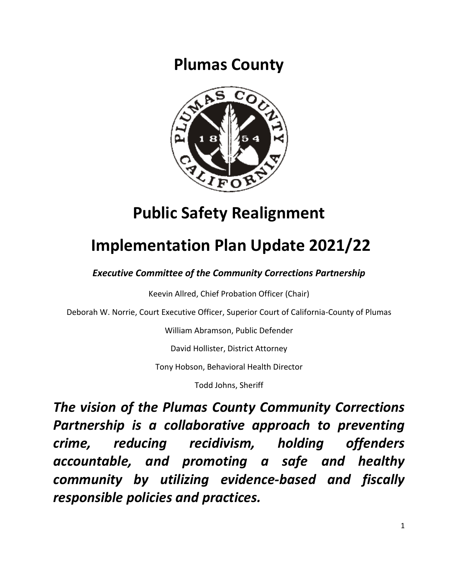**Plumas County**



# **Public Safety Realignment**

# **Implementation Plan Update 2021/22**

*Executive Committee of the Community Corrections Partnership*

Keevin Allred, Chief Probation Officer (Chair)

Deborah W. Norrie, Court Executive Officer, Superior Court of California-County of Plumas

William Abramson, Public Defender

David Hollister, District Attorney

Tony Hobson, Behavioral Health Director

Todd Johns, Sheriff

*The vision of the Plumas County Community Corrections Partnership is a collaborative approach to preventing crime, reducing recidivism, holding offenders accountable, and promoting a safe and healthy community by utilizing evidence-based and fiscally responsible policies and practices.*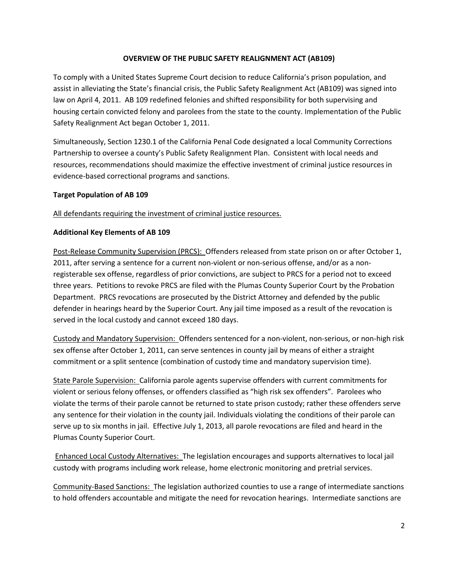### **OVERVIEW OF THE PUBLIC SAFETY REALIGNMENT ACT (AB109)**

To comply with a United States Supreme Court decision to reduce California's prison population, and assist in alleviating the State's financial crisis, the Public Safety Realignment Act (AB109) was signed into law on April 4, 2011. AB 109 redefined felonies and shifted responsibility for both supervising and housing certain convicted felony and parolees from the state to the county. Implementation of the Public Safety Realignment Act began October 1, 2011.

Simultaneously, Section 1230.1 of the California Penal Code designated a local Community Corrections Partnership to oversee a county's Public Safety Realignment Plan. Consistent with local needs and resources, recommendations should maximize the effective investment of criminal justice resources in evidence-based correctional programs and sanctions.

### **Target Population of AB 109**

### All defendants requiring the investment of criminal justice resources.

### **Additional Key Elements of AB 109**

Post-Release Community Supervision (PRCS): Offenders released from state prison on or after October 1, 2011, after serving a sentence for a current non-violent or non-serious offense, and/or as a nonregisterable sex offense, regardless of prior convictions, are subject to PRCS for a period not to exceed three years. Petitions to revoke PRCS are filed with the Plumas County Superior Court by the Probation Department. PRCS revocations are prosecuted by the District Attorney and defended by the public defender in hearings heard by the Superior Court. Any jail time imposed as a result of the revocation is served in the local custody and cannot exceed 180 days.

Custody and Mandatory Supervision: Offenders sentenced for a non-violent, non-serious, or non-high risk sex offense after October 1, 2011, can serve sentences in county jail by means of either a straight commitment or a split sentence (combination of custody time and mandatory supervision time).

State Parole Supervision: California parole agents supervise offenders with current commitments for violent or serious felony offenses, or offenders classified as "high risk sex offenders". Parolees who violate the terms of their parole cannot be returned to state prison custody; rather these offenders serve any sentence for their violation in the county jail. Individuals violating the conditions of their parole can serve up to six months in jail. Effective July 1, 2013, all parole revocations are filed and heard in the Plumas County Superior Court.

Enhanced Local Custody Alternatives: The legislation encourages and supports alternatives to local jail custody with programs including work release, home electronic monitoring and pretrial services.

Community-Based Sanctions: The legislation authorized counties to use a range of intermediate sanctions to hold offenders accountable and mitigate the need for revocation hearings. Intermediate sanctions are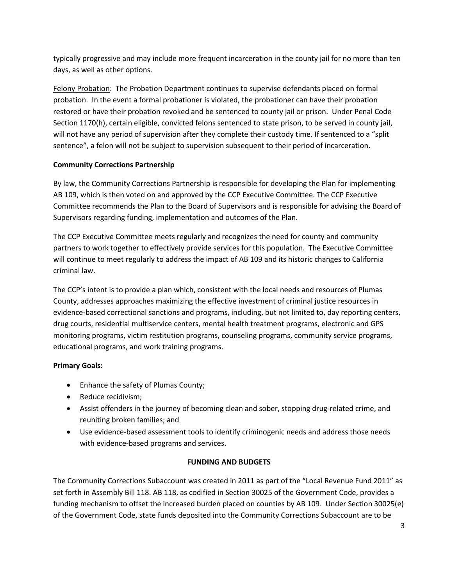typically progressive and may include more frequent incarceration in the county jail for no more than ten days, as well as other options.

Felony Probation: The Probation Department continues to supervise defendants placed on formal probation. In the event a formal probationer is violated, the probationer can have their probation restored or have their probation revoked and be sentenced to county jail or prison. Under Penal Code Section 1170(h), certain eligible, convicted felons sentenced to state prison, to be served in county jail, will not have any period of supervision after they complete their custody time. If sentenced to a "split sentence", a felon will not be subject to supervision subsequent to their period of incarceration.

# **Community Corrections Partnership**

By law, the Community Corrections Partnership is responsible for developing the Plan for implementing AB 109, which is then voted on and approved by the CCP Executive Committee. The CCP Executive Committee recommends the Plan to the Board of Supervisors and is responsible for advising the Board of Supervisors regarding funding, implementation and outcomes of the Plan.

The CCP Executive Committee meets regularly and recognizes the need for county and community partners to work together to effectively provide services for this population. The Executive Committee will continue to meet regularly to address the impact of AB 109 and its historic changes to California criminal law.

The CCP's intent is to provide a plan which, consistent with the local needs and resources of Plumas County, addresses approaches maximizing the effective investment of criminal justice resources in evidence-based correctional sanctions and programs, including, but not limited to, day reporting centers, drug courts, residential multiservice centers, mental health treatment programs, electronic and GPS monitoring programs, victim restitution programs, counseling programs, community service programs, educational programs, and work training programs.

# **Primary Goals:**

- Enhance the safety of Plumas County;
- Reduce recidivism;
- Assist offenders in the journey of becoming clean and sober, stopping drug-related crime, and reuniting broken families; and
- Use evidence-based assessment tools to identify criminogenic needs and address those needs with evidence-based programs and services.

# **FUNDING AND BUDGETS**

The Community Corrections Subaccount was created in 2011 as part of the "Local Revenue Fund 2011" as set forth in Assembly Bill 118. AB 118, as codified in Section 30025 of the Government Code, provides a funding mechanism to offset the increased burden placed on counties by AB 109. Under Section 30025(e) of the Government Code, state funds deposited into the Community Corrections Subaccount are to be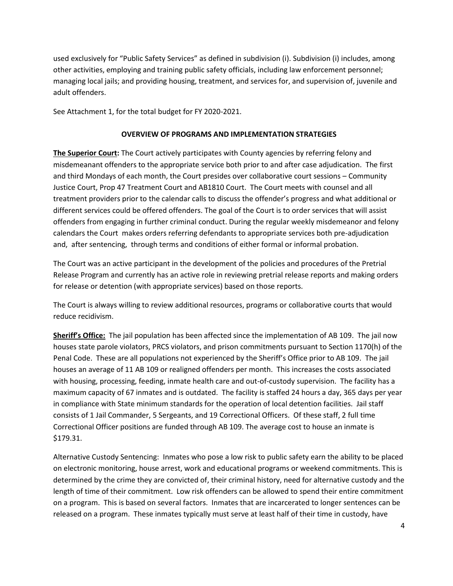used exclusively for "Public Safety Services" as defined in subdivision (i). Subdivision (i) includes, among other activities, employing and training public safety officials, including law enforcement personnel; managing local jails; and providing housing, treatment, and services for, and supervision of, juvenile and adult offenders.

See Attachment 1, for the total budget for FY 2020-2021.

#### **OVERVIEW OF PROGRAMS AND IMPLEMENTATION STRATEGIES**

**The Superior Court:** The Court actively participates with County agencies by referring felony and misdemeanant offenders to the appropriate service both prior to and after case adjudication. The first and third Mondays of each month, the Court presides over collaborative court sessions – Community Justice Court, Prop 47 Treatment Court and AB1810 Court. The Court meets with counsel and all treatment providers prior to the calendar calls to discuss the offender's progress and what additional or different services could be offered offenders. The goal of the Court is to order services that will assist offenders from engaging in further criminal conduct. During the regular weekly misdemeanor and felony calendars the Court makes orders referring defendants to appropriate services both pre-adjudication and, after sentencing, through terms and conditions of either formal or informal probation.

The Court was an active participant in the development of the policies and procedures of the Pretrial Release Program and currently has an active role in reviewing pretrial release reports and making orders for release or detention (with appropriate services) based on those reports.

The Court is always willing to review additional resources, programs or collaborative courts that would reduce recidivism.

**Sheriff's Office:** The jail population has been affected since the implementation of AB 109. The jail now houses state parole violators, PRCS violators, and prison commitments pursuant to Section 1170(h) of the Penal Code. These are all populations not experienced by the Sheriff's Office prior to AB 109. The jail houses an average of 11 AB 109 or realigned offenders per month. This increases the costs associated with housing, processing, feeding, inmate health care and out-of-custody supervision. The facility has a maximum capacity of 67 inmates and is outdated. The facility is staffed 24 hours a day, 365 days per year in compliance with State minimum standards for the operation of local detention facilities. Jail staff consists of 1 Jail Commander, 5 Sergeants, and 19 Correctional Officers. Of these staff, 2 full time Correctional Officer positions are funded through AB 109. The average cost to house an inmate is \$179.31.

Alternative Custody Sentencing: Inmates who pose a low risk to public safety earn the ability to be placed on electronic monitoring, house arrest, work and educational programs or weekend commitments. This is determined by the crime they are convicted of, their criminal history, need for alternative custody and the length of time of their commitment. Low risk offenders can be allowed to spend their entire commitment on a program. This is based on several factors. Inmates that are incarcerated to longer sentences can be released on a program. These inmates typically must serve at least half of their time in custody, have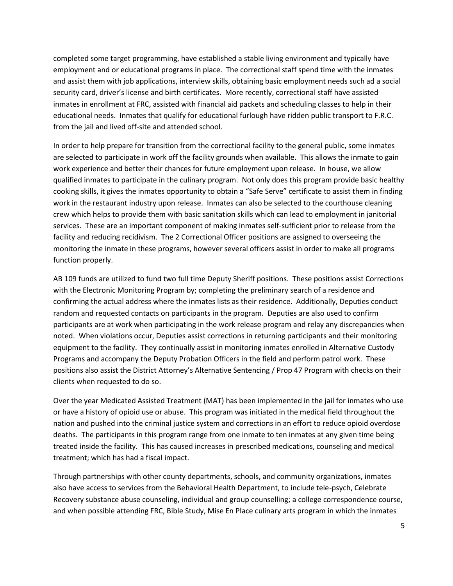completed some target programming, have established a stable living environment and typically have employment and or educational programs in place. The correctional staff spend time with the inmates and assist them with job applications, interview skills, obtaining basic employment needs such ad a social security card, driver's license and birth certificates. More recently, correctional staff have assisted inmates in enrollment at FRC, assisted with financial aid packets and scheduling classes to help in their educational needs. Inmates that qualify for educational furlough have ridden public transport to F.R.C. from the jail and lived off-site and attended school.

In order to help prepare for transition from the correctional facility to the general public, some inmates are selected to participate in work off the facility grounds when available. This allows the inmate to gain work experience and better their chances for future employment upon release. In house, we allow qualified inmates to participate in the culinary program. Not only does this program provide basic healthy cooking skills, it gives the inmates opportunity to obtain a "Safe Serve" certificate to assist them in finding work in the restaurant industry upon release. Inmates can also be selected to the courthouse cleaning crew which helps to provide them with basic sanitation skills which can lead to employment in janitorial services. These are an important component of making inmates self-sufficient prior to release from the facility and reducing recidivism. The 2 Correctional Officer positions are assigned to overseeing the monitoring the inmate in these programs, however several officers assist in order to make all programs function properly.

AB 109 funds are utilized to fund two full time Deputy Sheriff positions. These positions assist Corrections with the Electronic Monitoring Program by; completing the preliminary search of a residence and confirming the actual address where the inmates lists as their residence. Additionally, Deputies conduct random and requested contacts on participants in the program. Deputies are also used to confirm participants are at work when participating in the work release program and relay any discrepancies when noted. When violations occur, Deputies assist corrections in returning participants and their monitoring equipment to the facility. They continually assist in monitoring inmates enrolled in Alternative Custody Programs and accompany the Deputy Probation Officers in the field and perform patrol work. These positions also assist the District Attorney's Alternative Sentencing / Prop 47 Program with checks on their clients when requested to do so.

Over the year Medicated Assisted Treatment (MAT) has been implemented in the jail for inmates who use or have a history of opioid use or abuse. This program was initiated in the medical field throughout the nation and pushed into the criminal justice system and corrections in an effort to reduce opioid overdose deaths. The participants in this program range from one inmate to ten inmates at any given time being treated inside the facility. This has caused increases in prescribed medications, counseling and medical treatment; which has had a fiscal impact.

Through partnerships with other county departments, schools, and community organizations, inmates also have access to services from the Behavioral Health Department, to include tele-psych, Celebrate Recovery substance abuse counseling, individual and group counselling; a college correspondence course, and when possible attending FRC, Bible Study, Mise En Place culinary arts program in which the inmates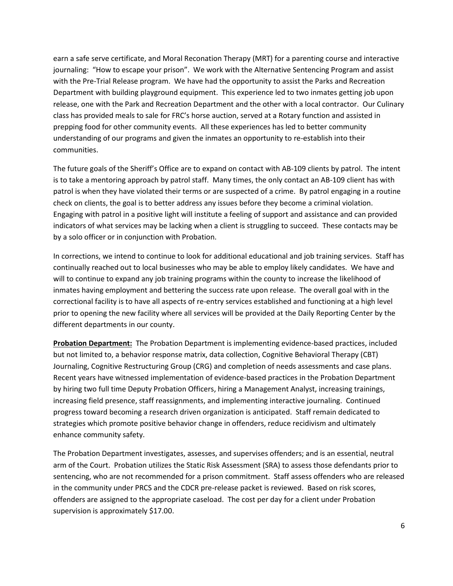earn a safe serve certificate, and Moral Reconation Therapy (MRT) for a parenting course and interactive journaling: "How to escape your prison". We work with the Alternative Sentencing Program and assist with the Pre-Trial Release program. We have had the opportunity to assist the Parks and Recreation Department with building playground equipment. This experience led to two inmates getting job upon release, one with the Park and Recreation Department and the other with a local contractor. Our Culinary class has provided meals to sale for FRC's horse auction, served at a Rotary function and assisted in prepping food for other community events. All these experiences has led to better community understanding of our programs and given the inmates an opportunity to re-establish into their communities.

The future goals of the Sheriff's Office are to expand on contact with AB-109 clients by patrol. The intent is to take a mentoring approach by patrol staff. Many times, the only contact an AB-109 client has with patrol is when they have violated their terms or are suspected of a crime. By patrol engaging in a routine check on clients, the goal is to better address any issues before they become a criminal violation. Engaging with patrol in a positive light will institute a feeling of support and assistance and can provided indicators of what services may be lacking when a client is struggling to succeed. These contacts may be by a solo officer or in conjunction with Probation.

In corrections, we intend to continue to look for additional educational and job training services. Staff has continually reached out to local businesses who may be able to employ likely candidates. We have and will to continue to expand any job training programs within the county to increase the likelihood of inmates having employment and bettering the success rate upon release. The overall goal with in the correctional facility is to have all aspects of re-entry services established and functioning at a high level prior to opening the new facility where all services will be provided at the Daily Reporting Center by the different departments in our county.

**Probation Department:** The Probation Department is implementing evidence-based practices, included but not limited to, a behavior response matrix, data collection, Cognitive Behavioral Therapy (CBT) Journaling, Cognitive Restructuring Group (CRG) and completion of needs assessments and case plans. Recent years have witnessed implementation of evidence-based practices in the Probation Department by hiring two full time Deputy Probation Officers, hiring a Management Analyst, increasing trainings, increasing field presence, staff reassignments, and implementing interactive journaling. Continued progress toward becoming a research driven organization is anticipated. Staff remain dedicated to strategies which promote positive behavior change in offenders, reduce recidivism and ultimately enhance community safety.

The Probation Department investigates, assesses, and supervises offenders; and is an essential, neutral arm of the Court. Probation utilizes the Static Risk Assessment (SRA) to assess those defendants prior to sentencing, who are not recommended for a prison commitment. Staff assess offenders who are released in the community under PRCS and the CDCR pre-release packet is reviewed. Based on risk scores, offenders are assigned to the appropriate caseload. The cost per day for a client under Probation supervision is approximately \$17.00.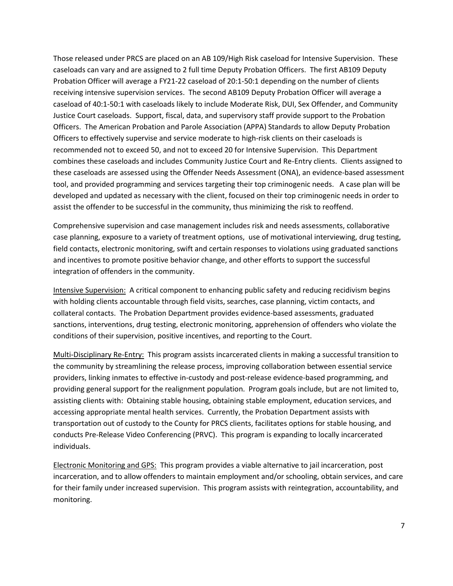Those released under PRCS are placed on an AB 109/High Risk caseload for Intensive Supervision. These caseloads can vary and are assigned to 2 full time Deputy Probation Officers. The first AB109 Deputy Probation Officer will average a FY21-22 caseload of 20:1-50:1 depending on the number of clients receiving intensive supervision services. The second AB109 Deputy Probation Officer will average a caseload of 40:1-50:1 with caseloads likely to include Moderate Risk, DUI, Sex Offender, and Community Justice Court caseloads. Support, fiscal, data, and supervisory staff provide support to the Probation Officers. The American Probation and Parole Association (APPA) Standards to allow Deputy Probation Officers to effectively supervise and service moderate to high-risk clients on their caseloads is recommended not to exceed 50, and not to exceed 20 for Intensive Supervision. This Department combines these caseloads and includes Community Justice Court and Re-Entry clients. Clients assigned to these caseloads are assessed using the Offender Needs Assessment (ONA), an evidence-based assessment tool, and provided programming and services targeting their top criminogenic needs. A case plan will be developed and updated as necessary with the client, focused on their top criminogenic needs in order to assist the offender to be successful in the community, thus minimizing the risk to reoffend.

Comprehensive supervision and case management includes risk and needs assessments, collaborative case planning, exposure to a variety of treatment options, use of motivational interviewing, drug testing, field contacts, electronic monitoring, swift and certain responses to violations using graduated sanctions and incentives to promote positive behavior change, and other efforts to support the successful integration of offenders in the community.

Intensive Supervision: A critical component to enhancing public safety and reducing recidivism begins with holding clients accountable through field visits, searches, case planning, victim contacts, and collateral contacts. The Probation Department provides evidence-based assessments, graduated sanctions, interventions, drug testing, electronic monitoring, apprehension of offenders who violate the conditions of their supervision, positive incentives, and reporting to the Court.

Multi-Disciplinary Re-Entry: This program assists incarcerated clients in making a successful transition to the community by streamlining the release process, improving collaboration between essential service providers, linking inmates to effective in-custody and post-release evidence-based programming, and providing general support for the realignment population. Program goals include, but are not limited to, assisting clients with: Obtaining stable housing, obtaining stable employment, education services, and accessing appropriate mental health services. Currently, the Probation Department assists with transportation out of custody to the County for PRCS clients, facilitates options for stable housing, and conducts Pre-Release Video Conferencing (PRVC). This program is expanding to locally incarcerated individuals.

Electronic Monitoring and GPS: This program provides a viable alternative to jail incarceration, post incarceration, and to allow offenders to maintain employment and/or schooling, obtain services, and care for their family under increased supervision. This program assists with reintegration, accountability, and monitoring.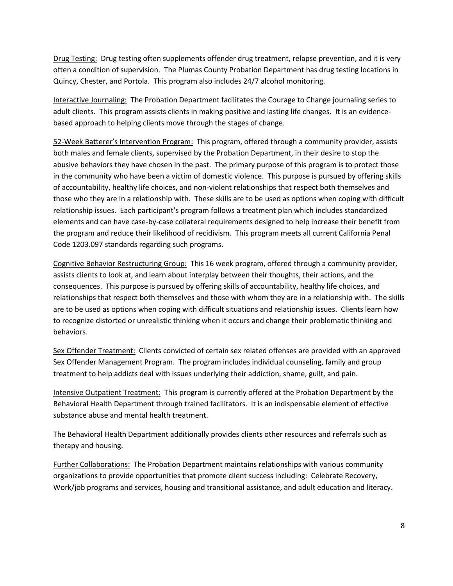Drug Testing: Drug testing often supplements offender drug treatment, relapse prevention, and it is very often a condition of supervision. The Plumas County Probation Department has drug testing locations in Quincy, Chester, and Portola. This program also includes 24/7 alcohol monitoring.

Interactive Journaling: The Probation Department facilitates the Courage to Change journaling series to adult clients. This program assists clients in making positive and lasting life changes. It is an evidencebased approach to helping clients move through the stages of change.

52-Week Batterer's Intervention Program: This program, offered through a community provider, assists both males and female clients, supervised by the Probation Department, in their desire to stop the abusive behaviors they have chosen in the past. The primary purpose of this program is to protect those in the community who have been a victim of domestic violence. This purpose is pursued by offering skills of accountability, healthy life choices, and non-violent relationships that respect both themselves and those who they are in a relationship with. These skills are to be used as options when coping with difficult relationship issues. Each participant's program follows a treatment plan which includes standardized elements and can have case-by-case collateral requirements designed to help increase their benefit from the program and reduce their likelihood of recidivism. This program meets all current California Penal Code 1203.097 standards regarding such programs.

Cognitive Behavior Restructuring Group: This 16 week program, offered through a community provider, assists clients to look at, and learn about interplay between their thoughts, their actions, and the consequences. This purpose is pursued by offering skills of accountability, healthy life choices, and relationships that respect both themselves and those with whom they are in a relationship with. The skills are to be used as options when coping with difficult situations and relationship issues. Clients learn how to recognize distorted or unrealistic thinking when it occurs and change their problematic thinking and behaviors.

Sex Offender Treatment: Clients convicted of certain sex related offenses are provided with an approved Sex Offender Management Program. The program includes individual counseling, family and group treatment to help addicts deal with issues underlying their addiction, shame, guilt, and pain.

Intensive Outpatient Treatment: This program is currently offered at the Probation Department by the Behavioral Health Department through trained facilitators. It is an indispensable element of effective substance abuse and mental health treatment.

The Behavioral Health Department additionally provides clients other resources and referrals such as therapy and housing.

Further Collaborations: The Probation Department maintains relationships with various community organizations to provide opportunities that promote client success including: Celebrate Recovery, Work/job programs and services, housing and transitional assistance, and adult education and literacy.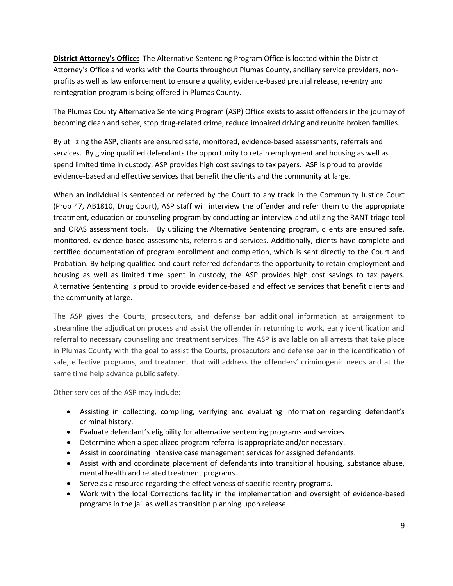**District Attorney's Office:** The Alternative Sentencing Program Office is located within the District Attorney's Office and works with the Courts throughout Plumas County, ancillary service providers, nonprofits as well as law enforcement to ensure a quality, evidence-based pretrial release, re-entry and reintegration program is being offered in Plumas County.

The Plumas County Alternative Sentencing Program (ASP) Office exists to assist offenders in the journey of becoming clean and sober, stop drug-related crime, reduce impaired driving and reunite broken families.

By utilizing the ASP, clients are ensured safe, monitored, evidence-based assessments, referrals and services. By giving qualified defendants the opportunity to retain employment and housing as well as spend limited time in custody, ASP provides high cost savings to tax payers. ASP is proud to provide evidence-based and effective services that benefit the clients and the community at large.

When an individual is sentenced or referred by the Court to any track in the Community Justice Court (Prop 47, AB1810, Drug Court), ASP staff will interview the offender and refer them to the appropriate treatment, education or counseling program by conducting an interview and utilizing the RANT triage tool and ORAS assessment tools. By utilizing the Alternative Sentencing program, clients are ensured safe, monitored, evidence-based assessments, referrals and services. Additionally, clients have complete and certified documentation of program enrollment and completion, which is sent directly to the Court and Probation. By helping qualified and court-referred defendants the opportunity to retain employment and housing as well as limited time spent in custody, the ASP provides high cost savings to tax payers. Alternative Sentencing is proud to provide evidence-based and effective services that benefit clients and the community at large.

The ASP gives the Courts, prosecutors, and defense bar additional information at arraignment to streamline the adjudication process and assist the offender in returning to work, early identification and referral to necessary counseling and treatment services. The ASP is available on all arrests that take place in Plumas County with the goal to assist the Courts, prosecutors and defense bar in the identification of safe, effective programs, and treatment that will address the offenders' criminogenic needs and at the same time help advance public safety.

Other services of the ASP may include:

- Assisting in collecting, compiling, verifying and evaluating information regarding defendant's criminal history.
- Evaluate defendant's eligibility for alternative sentencing programs and services.
- Determine when a specialized program referral is appropriate and/or necessary.
- Assist in coordinating intensive case management services for assigned defendants.
- Assist with and coordinate placement of defendants into transitional housing, substance abuse, mental health and related treatment programs.
- Serve as a resource regarding the effectiveness of specific reentry programs.
- Work with the local Corrections facility in the implementation and oversight of evidence-based programs in the jail as well as transition planning upon release.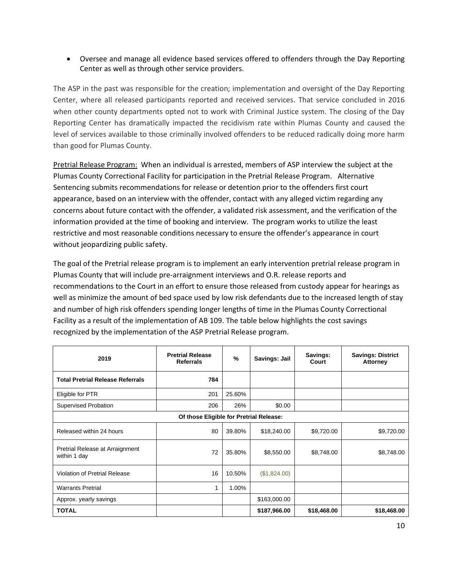• Oversee and manage all evidence based services offered to offenders through the Day Reporting Center as well as through other service providers.

The ASP in the past was responsible for the creation; implementation and oversight of the Day Reporting Center, where all released participants reported and received services. That service concluded in 2016 when other county departments opted not to work with Criminal Justice system. The closing of the Day Reporting Center has dramatically impacted the recidivism rate within Plumas County and caused the level of services available to those criminally involved offenders to be reduced radically doing more harm than good for Plumas County.

Pretrial Release Program: When an individual is arrested, members of ASP interview the subject at the Plumas County Correctional Facility for participation in the Pretrial Release Program. Alternative Sentencing submits recommendations for release or detention prior to the offenders first court appearance, based on an interview with the offender, contact with any alleged victim regarding any concerns about future contact with the offender, a validated risk assessment, and the verification of the information provided at the time of booking and interview. The program works to utilize the least restrictive and most reasonable conditions necessary to ensure the offender's appearance in court without jeopardizing public safety.

The goal of the Pretrial release program is to implement an early intervention pretrial release program in Plumas County that will include pre-arraignment interviews and O.R. release reports and recommendations to the Court in an effort to ensure those released from custody appear for hearings as well as minimize the amount of bed space used by low risk defendants due to the increased length of stay and number of high risk offenders spending longer lengths of time in the Plumas County Correctional Facility as a result of the implementation of AB 109. The table below highlights the cost savings recognized by the implementation of the ASP Pretrial Release program.

| <b>Pretrial Release</b><br>2019<br><b>Referrals</b> |     | $\frac{9}{6}$ | Savings: Jail | Savings:<br>Court | <b>Savings: District</b><br><b>Attorney</b> |
|-----------------------------------------------------|-----|---------------|---------------|-------------------|---------------------------------------------|
| <b>Total Pretrial Release Referrals</b>             | 784 |               |               |                   |                                             |
| Eligible for PTR                                    | 201 | 25.60%        |               |                   |                                             |
| Supervised Probation                                | 206 | 26%           | \$0.00        |                   |                                             |
| Of those Eligible for Pretrial Release:             |     |               |               |                   |                                             |
| Released within 24 hours                            | 80  | 39.80%        | \$18,240.00   | \$9,720.00        | \$9,720.00                                  |
| Pretrial Release at Arraignment<br>within 1 day     | 72  | 35.80%        | \$8,550.00    | \$8,748.00        | \$8,748.00                                  |
| Violation of Pretrial Release                       | 16  | 10.50%        | (\$1,824.00)  |                   |                                             |
| <b>Warrants Pretrial</b>                            | 1   | 1.00%         |               |                   |                                             |
| Approx. yearly savings                              |     |               | \$163,000.00  |                   |                                             |
| <b>TOTAL</b>                                        |     |               | \$187,966.00  | \$18,468.00       | \$18,468.00                                 |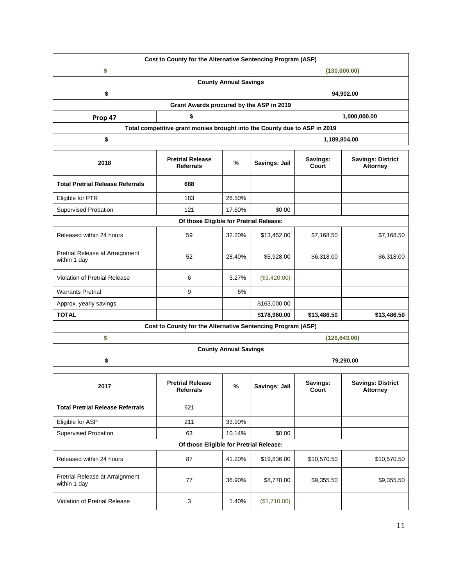|         | Cost to County for the Alternative Sentencing Program (ASP) |              |
|---------|-------------------------------------------------------------|--------------|
|         |                                                             | (130,000.00) |
|         | <b>County Annual Savings</b>                                |              |
|         |                                                             | 94,902.00    |
|         | Grant Awards procured by the ASP in 2019                    |              |
| Prop 47 |                                                             | 1,000,000.00 |

| PIUD 47 |  | 1,000,000.                                                                |
|---------|--|---------------------------------------------------------------------------|
|         |  | Total competitive grant monies brought into the County due to ASP in 2019 |
|         |  | 1.189.804.00                                                              |

| 2018                                            | <b>Pretrial Release</b><br><b>Referrals</b>                 | $\%$                         | Savings: Jail | Savings:<br>Court | <b>Savings: District</b><br><b>Attorney</b> |
|-------------------------------------------------|-------------------------------------------------------------|------------------------------|---------------|-------------------|---------------------------------------------|
| <b>Total Pretrial Release Referrals</b>         | 688                                                         |                              |               |                   |                                             |
| Eligible for PTR                                | 183                                                         | 26.50%                       |               |                   |                                             |
| Supervised Probation                            | 121                                                         | 17.60%                       | \$0.00        |                   |                                             |
|                                                 | Of those Eligible for Pretrial Release:                     |                              |               |                   |                                             |
| Released within 24 hours                        | 59                                                          | 32.20%                       | \$13,452.00   | \$7,168.50        | \$7,168.50                                  |
| Pretrial Release at Arraignment<br>within 1 day | 52                                                          | 28.40%                       | \$5,928.00    | \$6,318.00        | \$6,318.00                                  |
| Violation of Pretrial Release                   | 6                                                           | 3.27%                        | (\$3,420.00)  |                   |                                             |
| <b>Warrants Pretrial</b>                        | 9                                                           | 5%                           |               |                   |                                             |
| Approx. yearly savings                          |                                                             |                              | \$163,000.00  |                   |                                             |
| <b>TOTAL</b>                                    |                                                             |                              | \$178,960.00  | \$13,486.50       | \$13,486.50                                 |
|                                                 | Cost to County for the Alternative Sentencing Program (ASP) |                              |               |                   |                                             |
| \$<br>(126, 643.00)                             |                                                             |                              |               |                   |                                             |
|                                                 |                                                             | <b>County Annual Savings</b> |               |                   |                                             |
| \$                                              | 79,290.00                                                   |                              |               |                   |                                             |

| 2017                                            | <b>Pretrial Release</b><br><b>Referrals</b> | $\%$   | Savings: Jail | Savings:<br>Court | <b>Savings: District</b><br><b>Attorney</b> |
|-------------------------------------------------|---------------------------------------------|--------|---------------|-------------------|---------------------------------------------|
| <b>Total Pretrial Release Referrals</b>         | 621                                         |        |               |                   |                                             |
| Eligible for ASP                                | 211                                         | 33.90% |               |                   |                                             |
| <b>Supervised Probation</b>                     | 63                                          | 10.14% | \$0.00        |                   |                                             |
| Of those Eligible for Pretrial Release:         |                                             |        |               |                   |                                             |
| Released within 24 hours                        | 87                                          | 41.20% | \$19,836.00   | \$10,570.50       | \$10,570.50                                 |
| Pretrial Release at Arraignment<br>within 1 day | 77                                          | 36.90% | \$8,778.00    | \$9,355.50        | \$9,355.50                                  |
| Violation of Pretrial Release                   | 3                                           | 1.40%  | (\$1,710.00)  |                   |                                             |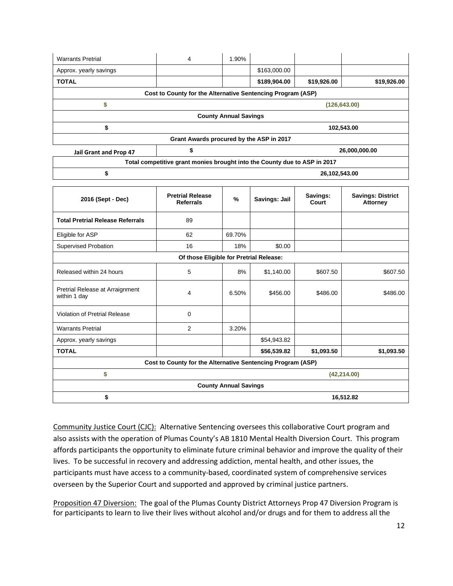| <b>Warrants Pretrial</b>                        | 4                                                                         | 1.90%                        |               |                   |                                             |
|-------------------------------------------------|---------------------------------------------------------------------------|------------------------------|---------------|-------------------|---------------------------------------------|
| Approx. yearly savings                          |                                                                           |                              | \$163,000.00  |                   |                                             |
| <b>TOTAL</b>                                    |                                                                           |                              | \$189,904.00  | \$19,926.00       | \$19,926.00                                 |
|                                                 | Cost to County for the Alternative Sentencing Program (ASP)               |                              |               |                   |                                             |
| \$                                              |                                                                           |                              |               | (126, 643.00)     |                                             |
|                                                 |                                                                           | <b>County Annual Savings</b> |               |                   |                                             |
| \$                                              |                                                                           |                              |               |                   | 102,543.00                                  |
|                                                 | Grant Awards procured by the ASP in 2017                                  |                              |               |                   |                                             |
| <b>Jail Grant and Prop 47</b>                   | \$                                                                        |                              |               |                   | 26,000,000.00                               |
|                                                 | Total competitive grant monies brought into the County due to ASP in 2017 |                              |               |                   |                                             |
| \$                                              |                                                                           |                              |               | 26,102,543.00     |                                             |
|                                                 |                                                                           |                              |               |                   |                                             |
| 2016 (Sept - Dec)                               | <b>Pretrial Release</b><br><b>Referrals</b>                               | %                            | Savings: Jail | Savings:<br>Court | <b>Savings: District</b><br><b>Attorney</b> |
| <b>Total Pretrial Release Referrals</b>         | 89                                                                        |                              |               |                   |                                             |
| Eligible for ASP                                | 62                                                                        | 69.70%                       |               |                   |                                             |
| Supervised Probation                            | 16                                                                        | 18%                          | \$0.00        |                   |                                             |
|                                                 | Of those Eligible for Pretrial Release:                                   |                              |               |                   |                                             |
| Released within 24 hours                        | 5                                                                         | 8%                           | \$1,140.00    | \$607.50          | \$607.50                                    |
| Pretrial Release at Arraignment<br>within 1 day | 4                                                                         | 6.50%                        | \$456.00      | \$486.00          | \$486.00                                    |
| Violation of Pretrial Release                   | $\mathbf 0$                                                               |                              |               |                   |                                             |
| <b>Warrants Pretrial</b>                        | 2                                                                         | 3.20%                        |               |                   |                                             |
| Approx. yearly savings                          |                                                                           |                              | \$54,943.82   |                   |                                             |
| <b>TOTAL</b>                                    |                                                                           |                              | \$56,539.82   | \$1,093.50        | \$1,093.50                                  |
|                                                 | Cost to County for the Alternative Sentencing Program (ASP)               |                              |               |                   |                                             |
| \$                                              |                                                                           |                              |               |                   | (42, 214.00)                                |
| <b>County Annual Savings</b>                    |                                                                           |                              |               |                   |                                             |
| \$<br>16,512.82                                 |                                                                           |                              |               |                   |                                             |

Community Justice Court (CJC): Alternative Sentencing oversees this collaborative Court program and also assists with the operation of Plumas County's AB 1810 Mental Health Diversion Court. This program affords participants the opportunity to eliminate future criminal behavior and improve the quality of their lives. To be successful in recovery and addressing addiction, mental health, and other issues, the participants must have access to a community-based, coordinated system of comprehensive services overseen by the Superior Court and supported and approved by criminal justice partners.

Proposition 47 Diversion: The goal of the Plumas County District Attorneys Prop 47 Diversion Program is for participants to learn to live their lives without alcohol and/or drugs and for them to address all the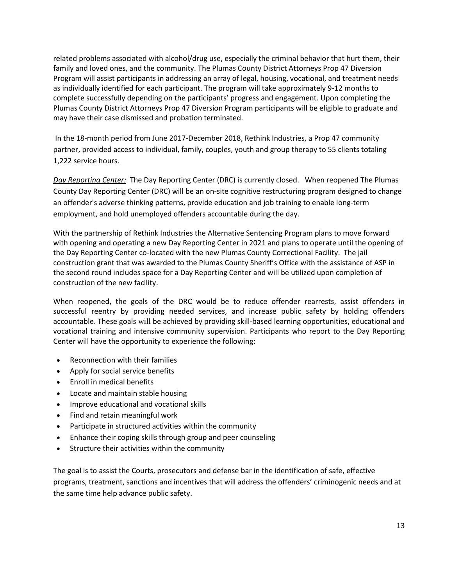related problems associated with alcohol/drug use, especially the criminal behavior that hurt them, their family and loved ones, and the community. The Plumas County District Attorneys Prop 47 Diversion Program will assist participants in addressing an array of legal, housing, vocational, and treatment needs as individually identified for each participant. The program will take approximately 9-12 months to complete successfully depending on the participants' progress and engagement. Upon completing the Plumas County District Attorneys Prop 47 Diversion Program participants will be eligible to graduate and may have their case dismissed and probation terminated.

In the 18-month period from June 2017-December 2018, Rethink Industries, a Prop 47 community partner, provided access to individual, family, couples, youth and group therapy to 55 clients totaling 1,222 service hours.

*Day Reporting Center:* The Day Reporting Center (DRC) is currently closed. When reopened The Plumas County Day Reporting Center (DRC) will be an on-site cognitive restructuring program designed to change an offender's adverse thinking patterns, provide education and job training to enable long-term employment, and hold unemployed offenders accountable during the day.

With the partnership of Rethink Industries the Alternative Sentencing Program plans to move forward with opening and operating a new Day Reporting Center in 2021 and plans to operate until the opening of the Day Reporting Center co-located with the new Plumas County Correctional Facility. The jail construction grant that was awarded to the Plumas County Sheriff's Office with the assistance of ASP in the second round includes space for a Day Reporting Center and will be utilized upon completion of construction of the new facility.

When reopened, the goals of the DRC would be to reduce offender rearrests, assist offenders in successful reentry by providing needed services, and increase public safety by holding offenders accountable. These goals will be achieved by providing skill-based learning opportunities, educational and vocational training and intensive community supervision. Participants who report to the Day Reporting Center will have the opportunity to experience the following:

- Reconnection with their families
- Apply for social service benefits
- Enroll in medical benefits
- Locate and maintain stable housing
- Improve educational and vocational skills
- Find and retain meaningful work
- Participate in structured activities within the community
- Enhance their coping skills through group and peer counseling
- Structure their activities within the community

The goal is to assist the Courts, prosecutors and defense bar in the identification of safe, effective programs, treatment, sanctions and incentives that will address the offenders' criminogenic needs and at the same time help advance public safety.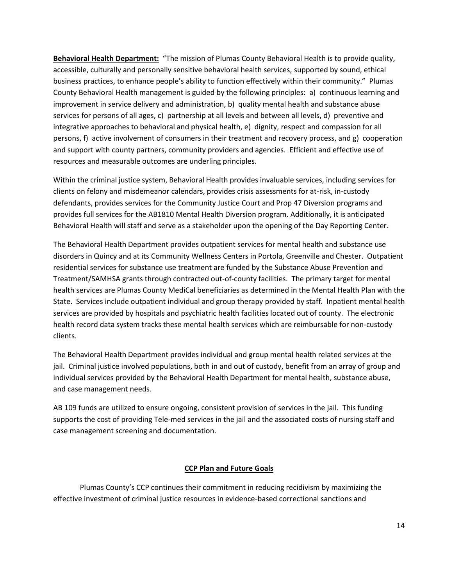**Behavioral Health Department:** "The mission of Plumas County Behavioral Health is to provide quality, accessible, culturally and personally sensitive behavioral health services, supported by sound, ethical business practices, to enhance people's ability to function effectively within their community." Plumas County Behavioral Health management is guided by the following principles: a) continuous learning and improvement in service delivery and administration, b) quality mental health and substance abuse services for persons of all ages, c) partnership at all levels and between all levels, d) preventive and integrative approaches to behavioral and physical health, e) dignity, respect and compassion for all persons, f) active involvement of consumers in their treatment and recovery process, and g) cooperation and support with county partners, community providers and agencies. Efficient and effective use of resources and measurable outcomes are underling principles.

Within the criminal justice system, Behavioral Health provides invaluable services, including services for clients on felony and misdemeanor calendars, provides crisis assessments for at-risk, in-custody defendants, provides services for the Community Justice Court and Prop 47 Diversion programs and provides full services for the AB1810 Mental Health Diversion program. Additionally, it is anticipated Behavioral Health will staff and serve as a stakeholder upon the opening of the Day Reporting Center.

The Behavioral Health Department provides outpatient services for mental health and substance use disorders in Quincy and at its Community Wellness Centers in Portola, Greenville and Chester. Outpatient residential services for substance use treatment are funded by the Substance Abuse Prevention and Treatment/SAMHSA grants through contracted out-of-county facilities. The primary target for mental health services are Plumas County MediCal beneficiaries as determined in the Mental Health Plan with the State. Services include outpatient individual and group therapy provided by staff. Inpatient mental health services are provided by hospitals and psychiatric health facilities located out of county. The electronic health record data system tracks these mental health services which are reimbursable for non-custody clients.

The Behavioral Health Department provides individual and group mental health related services at the jail. Criminal justice involved populations, both in and out of custody, benefit from an array of group and individual services provided by the Behavioral Health Department for mental health, substance abuse, and case management needs.

AB 109 funds are utilized to ensure ongoing, consistent provision of services in the jail. This funding supports the cost of providing Tele-med services in the jail and the associated costs of nursing staff and case management screening and documentation.

#### **CCP Plan and Future Goals**

Plumas County's CCP continues their commitment in reducing recidivism by maximizing the effective investment of criminal justice resources in evidence-based correctional sanctions and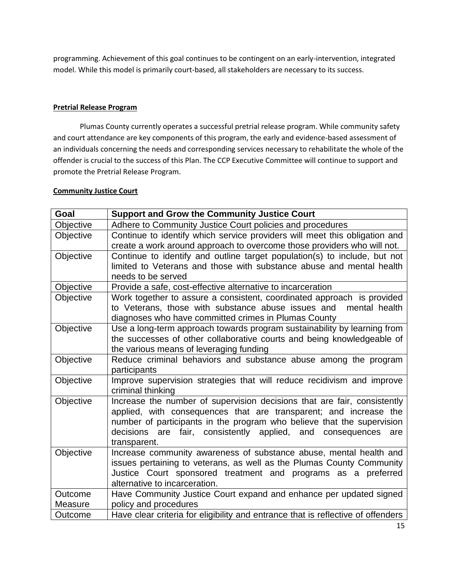programming. Achievement of this goal continues to be contingent on an early-intervention, integrated model. While this model is primarily court-based, all stakeholders are necessary to its success.

## **Pretrial Release Program**

Plumas County currently operates a successful pretrial release program. While community safety and court attendance are key components of this program, the early and evidence-based assessment of an individuals concerning the needs and corresponding services necessary to rehabilitate the whole of the offender is crucial to the success of this Plan. The CCP Executive Committee will continue to support and promote the Pretrial Release Program.

## **Community Justice Court**

| Goal               | <b>Support and Grow the Community Justice Court</b>                                            |
|--------------------|------------------------------------------------------------------------------------------------|
| Objective          | Adhere to Community Justice Court policies and procedures                                      |
| Objective          | Continue to identify which service providers will meet this obligation and                     |
|                    | create a work around approach to overcome those providers who will not.                        |
| Objective          | Continue to identify and outline target population(s) to include, but not                      |
|                    | limited to Veterans and those with substance abuse and mental health                           |
|                    | needs to be served                                                                             |
| Objective          | Provide a safe, cost-effective alternative to incarceration                                    |
| Objective          | Work together to assure a consistent, coordinated approach is provided                         |
|                    | to Veterans, those with substance abuse issues and<br>mental health                            |
|                    | diagnoses who have committed crimes in Plumas County                                           |
| Objective          | Use a long-term approach towards program sustainability by learning from                       |
|                    | the successes of other collaborative courts and being knowledgeable of                         |
|                    | the various means of leveraging funding                                                        |
| Objective          | Reduce criminal behaviors and substance abuse among the program                                |
|                    | participants                                                                                   |
| Objective          | Improve supervision strategies that will reduce recidivism and improve                         |
|                    | criminal thinking                                                                              |
| Objective          | Increase the number of supervision decisions that are fair, consistently                       |
|                    | applied, with consequences that are transparent; and increase the                              |
|                    | number of participants in the program who believe that the supervision                         |
|                    | are fair, consistently applied, and consequences<br>decisions<br>are                           |
|                    | transparent.                                                                                   |
| Objective          | Increase community awareness of substance abuse, mental health and                             |
|                    | issues pertaining to veterans, as well as the Plumas County Community                          |
|                    | Justice Court sponsored treatment and programs as a preferred<br>alternative to incarceration. |
|                    |                                                                                                |
| Outcome<br>Measure | Have Community Justice Court expand and enhance per updated signed<br>policy and procedures    |
|                    |                                                                                                |
| Outcome            | Have clear criteria for eligibility and entrance that is reflective of offenders               |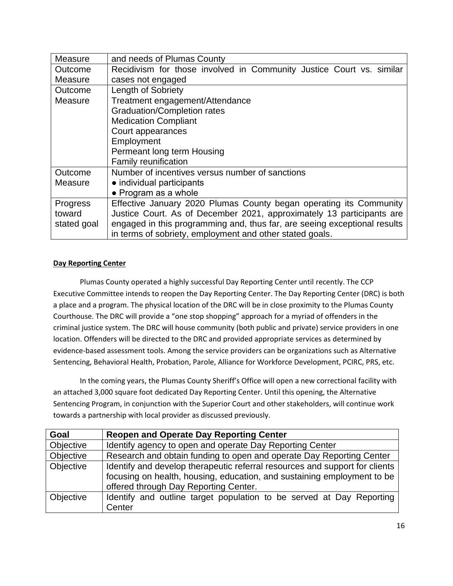| Measure         | and needs of Plumas County                                                |
|-----------------|---------------------------------------------------------------------------|
| Outcome         | Recidivism for those involved in Community Justice Court vs. similar      |
| Measure         | cases not engaged                                                         |
| Outcome         | Length of Sobriety                                                        |
| Measure         | Treatment engagement/Attendance                                           |
|                 | <b>Graduation/Completion rates</b>                                        |
|                 | <b>Medication Compliant</b>                                               |
|                 | Court appearances                                                         |
|                 | Employment                                                                |
|                 | Permeant long term Housing                                                |
|                 | <b>Family reunification</b>                                               |
| Outcome         | Number of incentives versus number of sanctions                           |
| Measure         | • individual participants                                                 |
|                 | • Program as a whole                                                      |
| <b>Progress</b> | Effective January 2020 Plumas County began operating its Community        |
| toward          | Justice Court. As of December 2021, approximately 13 participants are     |
| stated goal     | engaged in this programming and, thus far, are seeing exceptional results |
|                 | in terms of sobriety, employment and other stated goals.                  |

# **Day Reporting Center**

Plumas County operated a highly successful Day Reporting Center until recently. The CCP Executive Committee intends to reopen the Day Reporting Center. The Day Reporting Center (DRC) is both a place and a program. The physical location of the DRC will be in close proximity to the Plumas County Courthouse. The DRC will provide a "one stop shopping" approach for a myriad of offenders in the criminal justice system. The DRC will house community (both public and private) service providers in one location. Offenders will be directed to the DRC and provided appropriate services as determined by evidence-based assessment tools. Among the service providers can be organizations such as Alternative Sentencing, Behavioral Health, Probation, Parole, Alliance for Workforce Development, PCIRC, PRS, etc.

In the coming years, the Plumas County Sheriff's Office will open a new correctional facility with an attached 3,000 square foot dedicated Day Reporting Center. Until this opening, the Alternative Sentencing Program, in conjunction with the Superior Court and other stakeholders, will continue work towards a partnership with local provider as discussed previously.

| Goal      | <b>Reopen and Operate Day Reporting Center</b>                              |
|-----------|-----------------------------------------------------------------------------|
| Objective | Identify agency to open and operate Day Reporting Center                    |
| Objective | Research and obtain funding to open and operate Day Reporting Center        |
| Objective | Identify and develop therapeutic referral resources and support for clients |
|           | focusing on health, housing, education, and sustaining employment to be     |
|           | offered through Day Reporting Center.                                       |
| Objective | Identify and outline target population to be served at Day Reporting        |
|           | Center                                                                      |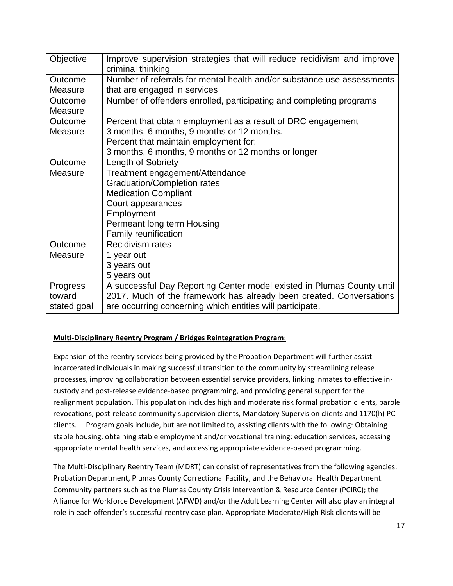| Objective       | Improve supervision strategies that will reduce recidivism and improve<br>criminal thinking |
|-----------------|---------------------------------------------------------------------------------------------|
| Outcome         | Number of referrals for mental health and/or substance use assessments                      |
| Measure         | that are engaged in services                                                                |
| Outcome         | Number of offenders enrolled, participating and completing programs                         |
| Measure         |                                                                                             |
| Outcome         | Percent that obtain employment as a result of DRC engagement                                |
| Measure         | 3 months, 6 months, 9 months or 12 months.                                                  |
|                 | Percent that maintain employment for:                                                       |
|                 | 3 months, 6 months, 9 months or 12 months or longer                                         |
| Outcome         | Length of Sobriety                                                                          |
| Measure         | Treatment engagement/Attendance                                                             |
|                 | <b>Graduation/Completion rates</b>                                                          |
|                 | <b>Medication Compliant</b>                                                                 |
|                 | Court appearances                                                                           |
|                 | Employment                                                                                  |
|                 | Permeant long term Housing                                                                  |
|                 | <b>Family reunification</b>                                                                 |
| Outcome         | <b>Recidivism rates</b>                                                                     |
| Measure         | 1 year out                                                                                  |
|                 | 3 years out                                                                                 |
|                 | 5 years out                                                                                 |
| <b>Progress</b> | A successful Day Reporting Center model existed in Plumas County until                      |
| toward          | 2017. Much of the framework has already been created. Conversations                         |
| stated goal     | are occurring concerning which entities will participate.                                   |

# **Multi-Disciplinary Reentry Program / Bridges Reintegration Program**:

Expansion of the reentry services being provided by the Probation Department will further assist incarcerated individuals in making successful transition to the community by streamlining release processes, improving collaboration between essential service providers, linking inmates to effective incustody and post-release evidence-based programming, and providing general support for the realignment population. This population includes high and moderate risk formal probation clients, parole revocations, post-release community supervision clients, Mandatory Supervision clients and 1170(h) PC clients. Program goals include, but are not limited to, assisting clients with the following: Obtaining stable housing, obtaining stable employment and/or vocational training; education services, accessing appropriate mental health services, and accessing appropriate evidence-based programming.

The Multi-Disciplinary Reentry Team (MDRT) can consist of representatives from the following agencies: Probation Department, Plumas County Correctional Facility, and the Behavioral Health Department. Community partners such as the Plumas County Crisis Intervention & Resource Center (PCIRC); the Alliance for Workforce Development (AFWD) and/or the Adult Learning Center will also play an integral role in each offender's successful reentry case plan. Appropriate Moderate/High Risk clients will be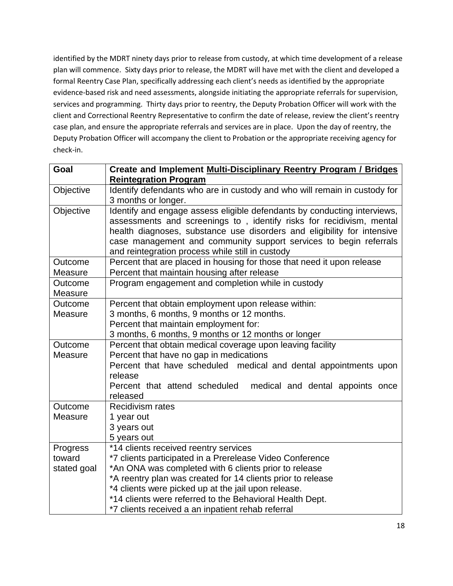identified by the MDRT ninety days prior to release from custody, at which time development of a release plan will commence. Sixty days prior to release, the MDRT will have met with the client and developed a formal Reentry Case Plan, specifically addressing each client's needs as identified by the appropriate evidence-based risk and need assessments, alongside initiating the appropriate referrals for supervision, services and programming. Thirty days prior to reentry, the Deputy Probation Officer will work with the client and Correctional Reentry Representative to confirm the date of release, review the client's reentry case plan, and ensure the appropriate referrals and services are in place. Upon the day of reentry, the Deputy Probation Officer will accompany the client to Probation or the appropriate receiving agency for check-in.

| Goal        | Create and Implement Multi-Disciplinary Reentry Program / Bridges         |
|-------------|---------------------------------------------------------------------------|
|             | <b>Reintegration Program</b>                                              |
| Objective   | Identify defendants who are in custody and who will remain in custody for |
|             | 3 months or longer.                                                       |
| Objective   | Identify and engage assess eligible defendants by conducting interviews,  |
|             | assessments and screenings to, identify risks for recidivism, mental      |
|             | health diagnoses, substance use disorders and eligibility for intensive   |
|             | case management and community support services to begin referrals         |
|             | and reintegration process while still in custody                          |
| Outcome     | Percent that are placed in housing for those that need it upon release    |
| Measure     | Percent that maintain housing after release                               |
| Outcome     | Program engagement and completion while in custody                        |
| Measure     |                                                                           |
| Outcome     | Percent that obtain employment upon release within:                       |
| Measure     | 3 months, 6 months, 9 months or 12 months.                                |
|             | Percent that maintain employment for:                                     |
|             | 3 months, 6 months, 9 months or 12 months or longer                       |
| Outcome     | Percent that obtain medical coverage upon leaving facility                |
| Measure     | Percent that have no gap in medications                                   |
|             | Percent that have scheduled medical and dental appointments upon          |
|             | release                                                                   |
|             | Percent that attend scheduled<br>medical and dental appoints once         |
|             | released                                                                  |
| Outcome     | <b>Recidivism rates</b>                                                   |
| Measure     | 1 year out                                                                |
|             | 3 years out                                                               |
|             | 5 years out                                                               |
| Progress    | *14 clients received reentry services                                     |
| toward      | *7 clients participated in a Prerelease Video Conference                  |
| stated goal | *An ONA was completed with 6 clients prior to release                     |
|             | *A reentry plan was created for 14 clients prior to release               |
|             | *4 clients were picked up at the jail upon release.                       |
|             | *14 clients were referred to the Behavioral Health Dept.                  |
|             | *7 clients received a an inpatient rehab referral                         |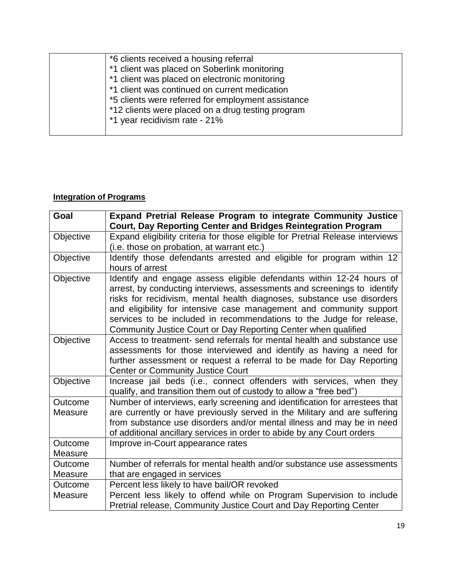| *6 clients received a housing referral             |
|----------------------------------------------------|
| *1 client was placed on Soberlink monitoring       |
| *1 client was placed on electronic monitoring      |
| *1 client was continued on current medication      |
| *5 clients were referred for employment assistance |
| *12 clients were placed on a drug testing program  |
| *1 year recidivism rate - 21%                      |
|                                                    |

# **Integration of Programs**

| Goal      | Expand Pretrial Release Program to integrate Community Justice<br><b>Court, Day Reporting Center and Bridges Reintegration Program</b>                                                                                                                                                                                                                                                                                                      |
|-----------|---------------------------------------------------------------------------------------------------------------------------------------------------------------------------------------------------------------------------------------------------------------------------------------------------------------------------------------------------------------------------------------------------------------------------------------------|
| Objective | Expand eligibility criteria for those eligible for Pretrial Release interviews                                                                                                                                                                                                                                                                                                                                                              |
|           | (i.e. those on probation, at warrant etc.)                                                                                                                                                                                                                                                                                                                                                                                                  |
| Objective | Identify those defendants arrested and eligible for program within 12<br>hours of arrest                                                                                                                                                                                                                                                                                                                                                    |
| Objective | Identify and engage assess eligible defendants within 12-24 hours of<br>arrest, by conducting interviews, assessments and screenings to identify<br>risks for recidivism, mental health diagnoses, substance use disorders<br>and eligibility for intensive case management and community support<br>services to be included in recommendations to the Judge for release,<br>Community Justice Court or Day Reporting Center when qualified |
| Objective | Access to treatment- send referrals for mental health and substance use<br>assessments for those interviewed and identify as having a need for<br>further assessment or request a referral to be made for Day Reporting<br><b>Center or Community Justice Court</b>                                                                                                                                                                         |
| Objective | Increase jail beds (i.e., connect offenders with services, when they<br>qualify, and transition them out of custody to allow a "free bed")                                                                                                                                                                                                                                                                                                  |
| Outcome   | Number of interviews, early screening and identification for arrestees that                                                                                                                                                                                                                                                                                                                                                                 |
| Measure   | are currently or have previously served in the Military and are suffering                                                                                                                                                                                                                                                                                                                                                                   |
|           | from substance use disorders and/or mental illness and may be in need                                                                                                                                                                                                                                                                                                                                                                       |
|           | of additional ancillary services in order to abide by any Court orders                                                                                                                                                                                                                                                                                                                                                                      |
| Outcome   | Improve in-Court appearance rates                                                                                                                                                                                                                                                                                                                                                                                                           |
| Measure   |                                                                                                                                                                                                                                                                                                                                                                                                                                             |
| Outcome   | Number of referrals for mental health and/or substance use assessments                                                                                                                                                                                                                                                                                                                                                                      |
| Measure   | that are engaged in services                                                                                                                                                                                                                                                                                                                                                                                                                |
| Outcome   | Percent less likely to have bail/OR revoked                                                                                                                                                                                                                                                                                                                                                                                                 |
| Measure   | Percent less likely to offend while on Program Supervision to include<br>Pretrial release, Community Justice Court and Day Reporting Center                                                                                                                                                                                                                                                                                                 |